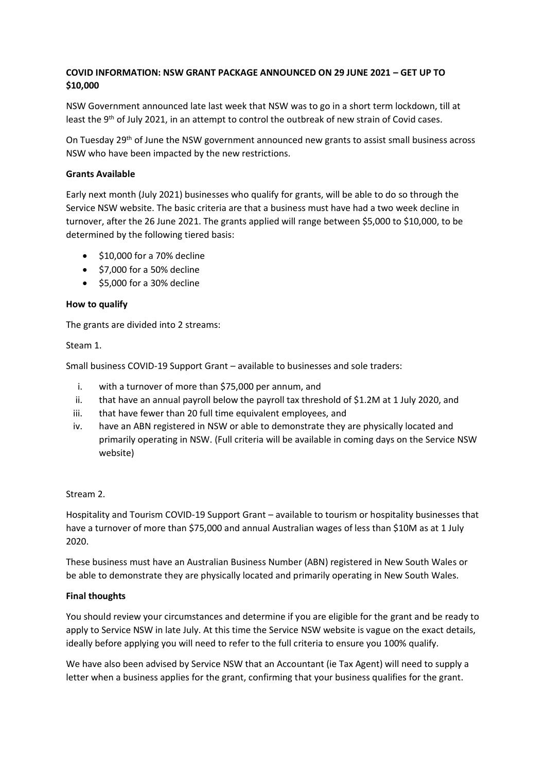# **COVID INFORMATION: NSW GRANT PACKAGE ANNOUNCED ON 29 JUNE 2021 – GET UP TO \$10,000**

NSW Government announced late last week that NSW was to go in a short term lockdown, till at least the 9<sup>th</sup> of July 2021, in an attempt to control the outbreak of new strain of Covid cases.

On Tuesday 29<sup>th</sup> of June the NSW government announced new grants to assist small business across NSW who have been impacted by the new restrictions.

## **Grants Available**

Early next month (July 2021) businesses who qualify for grants, will be able to do so through the Service NSW website. The basic criteria are that a business must have had a two week decline in turnover, after the 26 June 2021. The grants applied will range between \$5,000 to \$10,000, to be determined by the following tiered basis:

- \$10,000 for a 70% decline
- \$7,000 for a 50% decline
- \$5,000 for a 30% decline

## **How to qualify**

The grants are divided into 2 streams:

### Steam 1.

Small business COVID-19 Support Grant – available to businesses and sole traders:

- i. with a turnover of more than \$75,000 per annum, and
- ii. that have an annual payroll below the payroll tax threshold of \$1.2M at 1 July 2020, and
- iii. that have fewer than 20 full time equivalent employees, and
- iv. have an ABN registered in NSW or able to demonstrate they are physically located and primarily operating in NSW. (Full criteria will be available in coming days on the Service NSW website)

### Stream 2.

Hospitality and Tourism COVID-19 Support Grant – available to tourism or hospitality businesses that have a turnover of more than \$75,000 and annual Australian wages of less than \$10M as at 1 July 2020.

These business must have an Australian Business Number (ABN) registered in New South Wales or be able to demonstrate they are physically located and primarily operating in New South Wales.

### **Final thoughts**

You should review your circumstances and determine if you are eligible for the grant and be ready to apply to Service NSW in late July. At this time the Service NSW website is vague on the exact details, ideally before applying you will need to refer to the full criteria to ensure you 100% qualify.

We have also been advised by Service NSW that an Accountant (ie Tax Agent) will need to supply a letter when a business applies for the grant, confirming that your business qualifies for the grant.